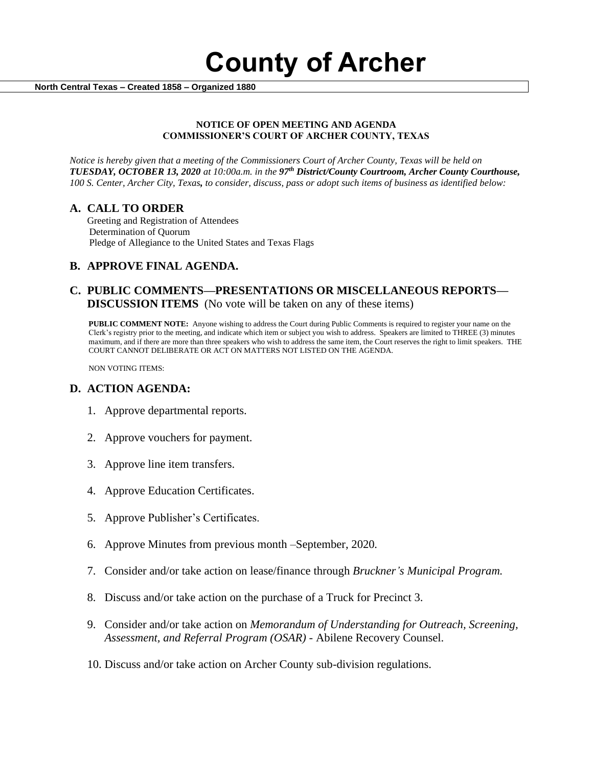**County of Archer** 

 **North Central Texas – Created 1858 – Organized 1880**

#### **NOTICE OF OPEN MEETING AND AGENDA COMMISSIONER'S COURT OF ARCHER COUNTY, TEXAS**

*Notice is hereby given that a meeting of the Commissioners Court of Archer County, Texas will be held on TUESDAY, OCTOBER 13, 2020 at 10:00a.m. in the 97th District/County Courtroom, Archer County Courthouse, 100 S. Center, Archer City, Texas, to consider, discuss, pass or adopt such items of business as identified below:*

### **A. CALL TO ORDER**

 Greeting and Registration of Attendees Determination of Quorum Pledge of Allegiance to the United States and Texas Flags

# **B. APPROVE FINAL AGENDA.**

## **C. PUBLIC COMMENTS—PRESENTATIONS OR MISCELLANEOUS REPORTS— DISCUSSION ITEMS** (No vote will be taken on any of these items)

**PUBLIC COMMENT NOTE:** Anyone wishing to address the Court during Public Comments is required to register your name on the Clerk's registry prior to the meeting, and indicate which item or subject you wish to address. Speakers are limited to THREE (3) minutes maximum, and if there are more than three speakers who wish to address the same item, the Court reserves the right to limit speakers. THE COURT CANNOT DELIBERATE OR ACT ON MATTERS NOT LISTED ON THE AGENDA.

NON VOTING ITEMS:

### **D. ACTION AGENDA:**

- 1. Approve departmental reports.
- 2. Approve vouchers for payment.
- 3. Approve line item transfers.
- 4. Approve Education Certificates.
- 5. Approve Publisher's Certificates.
- 6. Approve Minutes from previous month –September, 2020*.*
- 7. Consider and/or take action on lease/finance through *Bruckner's Municipal Program.*
- 8. Discuss and/or take action on the purchase of a Truck for Precinct 3.
- 9. Consider and/or take action on *Memorandum of Understanding for Outreach, Screening, Assessment, and Referral Program (OSAR)* - Abilene Recovery Counsel.
- 10. Discuss and/or take action on Archer County sub-division regulations.